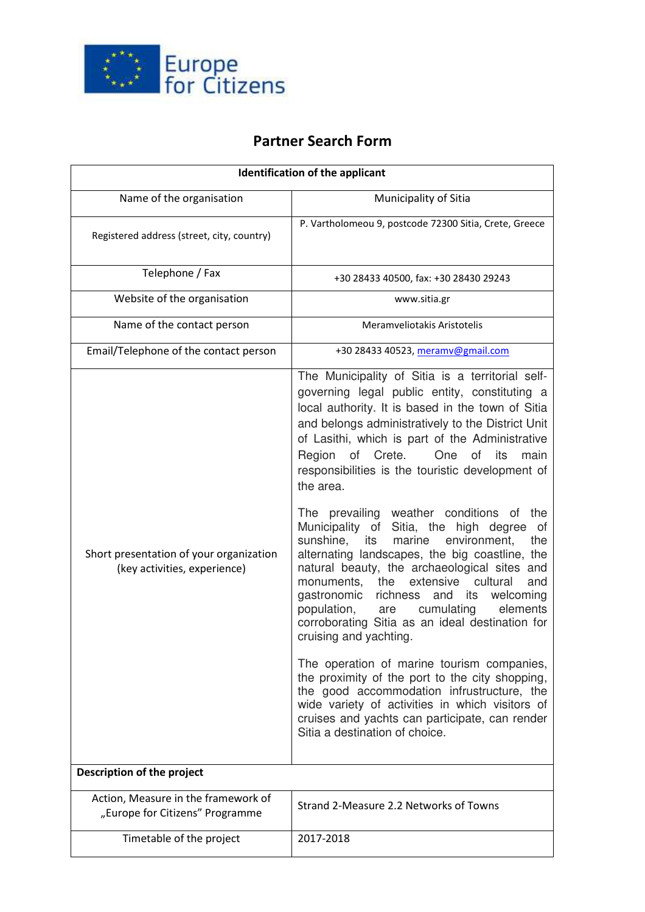

## **Partner Search Form**

| <b>Identification of the applicant</b>                                  |                                                                                                                                                                                                                                                                                                                                                                                                                                                                                                                                                                                                                                                                                                                                                                                                                                                                                                                                                                                      |
|-------------------------------------------------------------------------|--------------------------------------------------------------------------------------------------------------------------------------------------------------------------------------------------------------------------------------------------------------------------------------------------------------------------------------------------------------------------------------------------------------------------------------------------------------------------------------------------------------------------------------------------------------------------------------------------------------------------------------------------------------------------------------------------------------------------------------------------------------------------------------------------------------------------------------------------------------------------------------------------------------------------------------------------------------------------------------|
| Name of the organisation                                                | Municipality of Sitia                                                                                                                                                                                                                                                                                                                                                                                                                                                                                                                                                                                                                                                                                                                                                                                                                                                                                                                                                                |
| Registered address (street, city, country)                              | P. Vartholomeou 9, postcode 72300 Sitia, Crete, Greece                                                                                                                                                                                                                                                                                                                                                                                                                                                                                                                                                                                                                                                                                                                                                                                                                                                                                                                               |
| Telephone / Fax                                                         | +30 28433 40500, fax: +30 28430 29243                                                                                                                                                                                                                                                                                                                                                                                                                                                                                                                                                                                                                                                                                                                                                                                                                                                                                                                                                |
| Website of the organisation                                             | www.sitia.gr                                                                                                                                                                                                                                                                                                                                                                                                                                                                                                                                                                                                                                                                                                                                                                                                                                                                                                                                                                         |
| Name of the contact person                                              | Meramveliotakis Aristotelis                                                                                                                                                                                                                                                                                                                                                                                                                                                                                                                                                                                                                                                                                                                                                                                                                                                                                                                                                          |
| Email/Telephone of the contact person                                   | +30 28433 40523, meramv@gmail.com                                                                                                                                                                                                                                                                                                                                                                                                                                                                                                                                                                                                                                                                                                                                                                                                                                                                                                                                                    |
| Short presentation of your organization<br>(key activities, experience) | The Municipality of Sitia is a territorial self-<br>governing legal public entity, constituting a<br>local authority. It is based in the town of Sitia<br>and belongs administratively to the District Unit<br>of Lasithi, which is part of the Administrative<br>Region<br>of Crete.<br>One<br>of<br>its<br>main<br>responsibilities is the touristic development of<br>the area.<br>The prevailing weather conditions<br>of the<br>Municipality of<br>Sitia, the<br>high degree<br>οf<br>sunshine,<br>environment,<br>its<br>marine<br>the<br>alternating landscapes, the big coastline, the<br>natural beauty, the archaeological sites and<br>extensive<br>cultural<br>monuments, the<br>and<br>and<br>its<br>gastronomic<br>richness<br>welcoming<br>cumulating<br>population,<br>elements<br>are<br>corroborating Sitia as an ideal destination for<br>cruising and yachting.<br>The operation of marine tourism companies,<br>the proximity of the port to the city shopping, |
|                                                                         | the good accommodation infrustructure, the<br>wide variety of activities in which visitors of<br>cruises and yachts can participate, can render<br>Sitia a destination of choice.                                                                                                                                                                                                                                                                                                                                                                                                                                                                                                                                                                                                                                                                                                                                                                                                    |
| Description of the project                                              |                                                                                                                                                                                                                                                                                                                                                                                                                                                                                                                                                                                                                                                                                                                                                                                                                                                                                                                                                                                      |
| Action, Measure in the framework of<br>"Europe for Citizens" Programme  | Strand 2-Measure 2.2 Networks of Towns                                                                                                                                                                                                                                                                                                                                                                                                                                                                                                                                                                                                                                                                                                                                                                                                                                                                                                                                               |
| Timetable of the project                                                | 2017-2018                                                                                                                                                                                                                                                                                                                                                                                                                                                                                                                                                                                                                                                                                                                                                                                                                                                                                                                                                                            |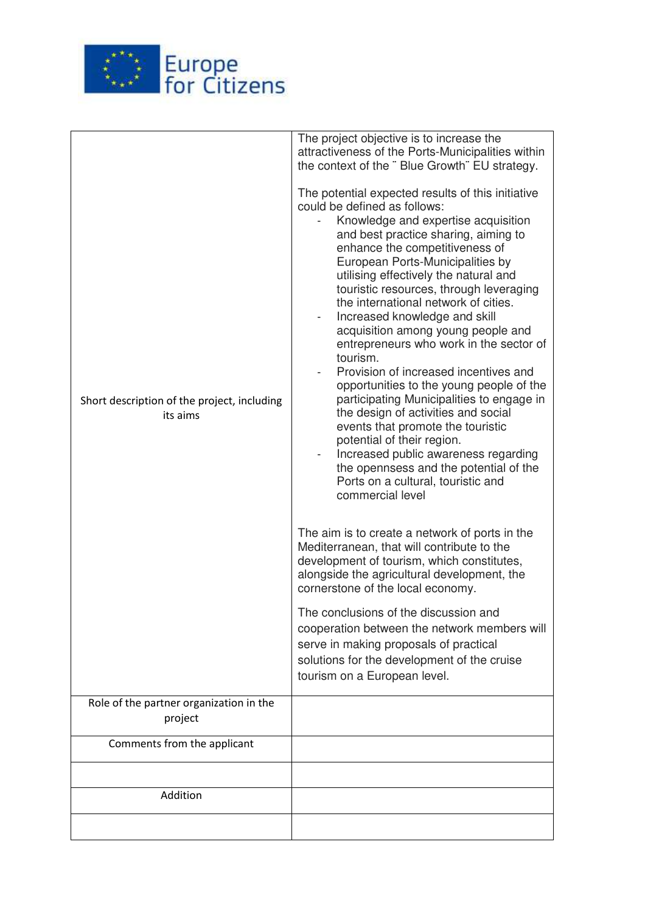

| Short description of the project, including<br>its aims | The project objective is to increase the<br>attractiveness of the Ports-Municipalities within<br>the context of the "Blue Growth" EU strategy.<br>The potential expected results of this initiative<br>could be defined as follows:<br>Knowledge and expertise acquisition<br>and best practice sharing, aiming to<br>enhance the competitiveness of<br>European Ports-Municipalities by<br>utilising effectively the natural and<br>touristic resources, through leveraging<br>the international network of cities.<br>Increased knowledge and skill<br>acquisition among young people and<br>entrepreneurs who work in the sector of<br>tourism.<br>Provision of increased incentives and<br>opportunities to the young people of the<br>participating Municipalities to engage in<br>the design of activities and social<br>events that promote the touristic<br>potential of their region.<br>Increased public awareness regarding<br>the opennsess and the potential of the<br>Ports on a cultural, touristic and<br>commercial level<br>The aim is to create a network of ports in the<br>Mediterranean, that will contribute to the<br>development of tourism, which constitutes,<br>alongside the agricultural development, the<br>cornerstone of the local economy.<br>The conclusions of the discussion and<br>cooperation between the network members will<br>serve in making proposals of practical |
|---------------------------------------------------------|-----------------------------------------------------------------------------------------------------------------------------------------------------------------------------------------------------------------------------------------------------------------------------------------------------------------------------------------------------------------------------------------------------------------------------------------------------------------------------------------------------------------------------------------------------------------------------------------------------------------------------------------------------------------------------------------------------------------------------------------------------------------------------------------------------------------------------------------------------------------------------------------------------------------------------------------------------------------------------------------------------------------------------------------------------------------------------------------------------------------------------------------------------------------------------------------------------------------------------------------------------------------------------------------------------------------------------------------------------------------------------------------------------------------|
|                                                         | solutions for the development of the cruise<br>tourism on a European level.                                                                                                                                                                                                                                                                                                                                                                                                                                                                                                                                                                                                                                                                                                                                                                                                                                                                                                                                                                                                                                                                                                                                                                                                                                                                                                                                     |
|                                                         |                                                                                                                                                                                                                                                                                                                                                                                                                                                                                                                                                                                                                                                                                                                                                                                                                                                                                                                                                                                                                                                                                                                                                                                                                                                                                                                                                                                                                 |
| Role of the partner organization in the<br>project      |                                                                                                                                                                                                                                                                                                                                                                                                                                                                                                                                                                                                                                                                                                                                                                                                                                                                                                                                                                                                                                                                                                                                                                                                                                                                                                                                                                                                                 |
| Comments from the applicant                             |                                                                                                                                                                                                                                                                                                                                                                                                                                                                                                                                                                                                                                                                                                                                                                                                                                                                                                                                                                                                                                                                                                                                                                                                                                                                                                                                                                                                                 |
|                                                         |                                                                                                                                                                                                                                                                                                                                                                                                                                                                                                                                                                                                                                                                                                                                                                                                                                                                                                                                                                                                                                                                                                                                                                                                                                                                                                                                                                                                                 |
| Addition                                                |                                                                                                                                                                                                                                                                                                                                                                                                                                                                                                                                                                                                                                                                                                                                                                                                                                                                                                                                                                                                                                                                                                                                                                                                                                                                                                                                                                                                                 |
|                                                         |                                                                                                                                                                                                                                                                                                                                                                                                                                                                                                                                                                                                                                                                                                                                                                                                                                                                                                                                                                                                                                                                                                                                                                                                                                                                                                                                                                                                                 |